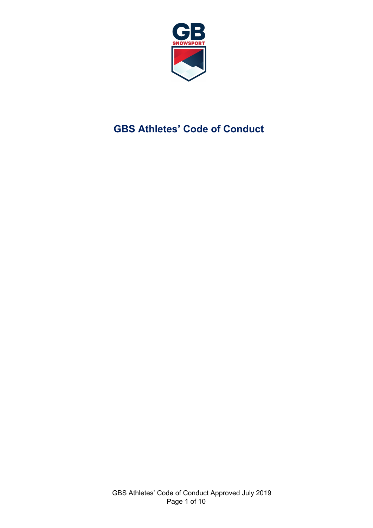

# **GBS Athletes' Code of Conduct**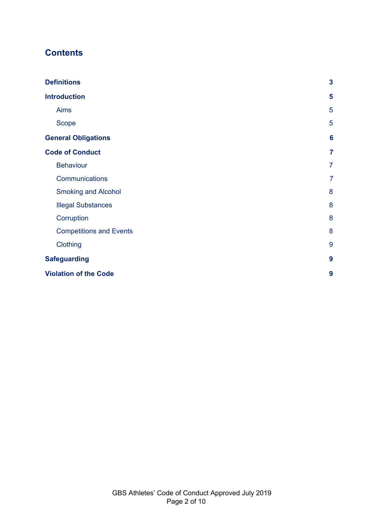## **Contents**

| <b>Definitions</b>             | $\mathbf{3}$    |
|--------------------------------|-----------------|
| <b>Introduction</b>            | 5               |
| <b>Aims</b>                    | 5               |
| <b>Scope</b>                   | 5               |
| <b>General Obligations</b>     | $6\phantom{1}6$ |
| <b>Code of Conduct</b>         | $\overline{7}$  |
| <b>Behaviour</b>               | $\overline{7}$  |
| Communications                 | $\overline{7}$  |
| <b>Smoking and Alcohol</b>     | 8               |
| <b>Illegal Substances</b>      | 8               |
| Corruption                     | 8               |
| <b>Competitions and Events</b> | 8               |
| Clothing                       | 9               |
| <b>Safeguarding</b>            | 9               |
| <b>Violation of the Code</b>   | 9               |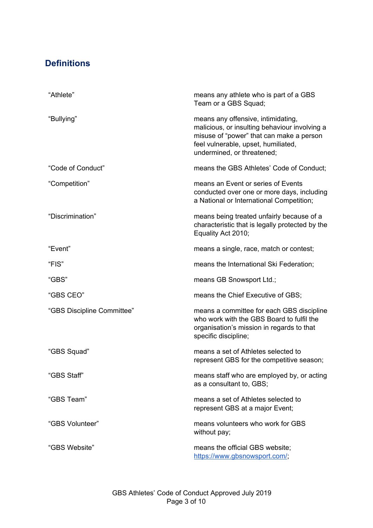## <span id="page-2-0"></span>**Definitions**

| "Athlete"                  | means any athlete who is part of a GBS<br>Team or a GBS Squad;                                                                                                                                       |
|----------------------------|------------------------------------------------------------------------------------------------------------------------------------------------------------------------------------------------------|
| "Bullying"                 | means any offensive, intimidating,<br>malicious, or insulting behaviour involving a<br>misuse of "power" that can make a person<br>feel vulnerable, upset, humiliated,<br>undermined, or threatened; |
| "Code of Conduct"          | means the GBS Athletes' Code of Conduct;                                                                                                                                                             |
| "Competition"              | means an Event or series of Events<br>conducted over one or more days, including<br>a National or International Competition;                                                                         |
| "Discrimination"           | means being treated unfairly because of a<br>characteristic that is legally protected by the<br>Equality Act 2010;                                                                                   |
| "Event"                    | means a single, race, match or contest;                                                                                                                                                              |
| "FIS"                      | means the International Ski Federation;                                                                                                                                                              |
| "GBS"                      | means GB Snowsport Ltd.;                                                                                                                                                                             |
| "GBS CEO"                  | means the Chief Executive of GBS;                                                                                                                                                                    |
| "GBS Discipline Committee" | means a committee for each GBS discipline<br>who work with the GBS Board to fulfil the<br>organisation's mission in regards to that<br>specific discipline;                                          |
| "GBS Squad"                | means a set of Athletes selected to<br>represent GBS for the competitive season;                                                                                                                     |
| "GBS Staff"                | means staff who are employed by, or acting<br>as a consultant to, GBS;                                                                                                                               |
| "GBS Team"                 | means a set of Athletes selected to<br>represent GBS at a major Event;                                                                                                                               |
| "GBS Volunteer"            | means volunteers who work for GBS<br>without pay;                                                                                                                                                    |
| "GBS Website"              | means the official GBS website;<br>https://www.gbsnowsport.com/;                                                                                                                                     |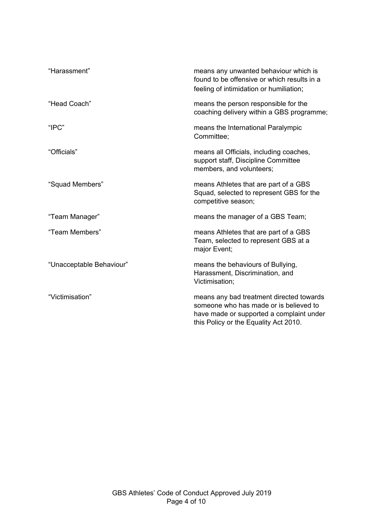| "Harassment"             | means any unwanted behaviour which is<br>found to be offensive or which results in a<br>feeling of intimidation or humiliation;                                         |
|--------------------------|-------------------------------------------------------------------------------------------------------------------------------------------------------------------------|
| "Head Coach"             | means the person responsible for the<br>coaching delivery within a GBS programme;                                                                                       |
| "IPC"                    | means the International Paralympic<br>Committee;                                                                                                                        |
| "Officials"              | means all Officials, including coaches,<br>support staff, Discipline Committee<br>members, and volunteers;                                                              |
| "Squad Members"          | means Athletes that are part of a GBS<br>Squad, selected to represent GBS for the<br>competitive season;                                                                |
| "Team Manager"           | means the manager of a GBS Team;                                                                                                                                        |
| "Team Members"           | means Athletes that are part of a GBS<br>Team, selected to represent GBS at a<br>major Event;                                                                           |
| "Unacceptable Behaviour" | means the behaviours of Bullying,<br>Harassment, Discrimination, and<br>Victimisation;                                                                                  |
| "Victimisation"          | means any bad treatment directed towards<br>someone who has made or is believed to<br>have made or supported a complaint under<br>this Policy or the Equality Act 2010. |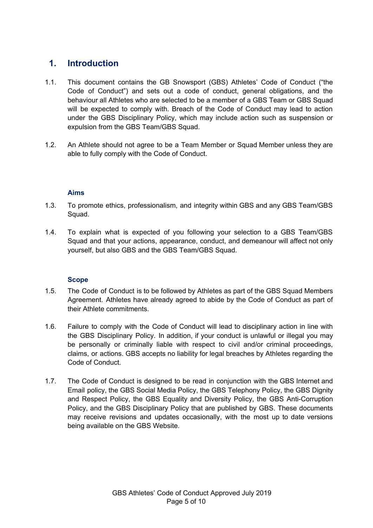## <span id="page-4-0"></span>**1. Introduction**

- 1.1. This document contains the GB Snowsport (GBS) Athletes' Code of Conduct ("the Code of Conduct") and sets out a code of conduct, general obligations, and the behaviour all Athletes who are selected to be a member of a GBS Team or GBS Squad will be expected to comply with. Breach of the Code of Conduct may lead to action under the GBS Disciplinary Policy, which may include action such as suspension or expulsion from the GBS Team/GBS Squad.
- <span id="page-4-1"></span>1.2. An Athlete should not agree to be a Team Member or Squad Member unless they are able to fully comply with the Code of Conduct.

#### **Aims**

- 1.3. To promote ethics, professionalism, and integrity within GBS and any GBS Team/GBS Squad.
- 1.4. To explain what is expected of you following your selection to a GBS Team/GBS Squad and that your actions, appearance, conduct, and demeanour will affect not only yourself, but also GBS and the GBS Team/GBS Squad.

#### **Scope**

- <span id="page-4-2"></span>1.5. The Code of Conduct is to be followed by Athletes as part of the GBS Squad Members Agreement. Athletes have already agreed to abide by the Code of Conduct as part of their Athlete commitments.
- 1.6. Failure to comply with the Code of Conduct will lead to disciplinary action in line with the GBS Disciplinary Policy. In addition, if your conduct is unlawful or illegal you may be personally or criminally liable with respect to civil and/or criminal proceedings, claims, or actions. GBS accepts no liability for legal breaches by Athletes regarding the Code of Conduct.
- 1.7. The Code of Conduct is designed to be read in conjunction with the GBS Internet and Email policy, the GBS Social Media Policy, the GBS Telephony Policy, the GBS Dignity and Respect Policy, the GBS Equality and Diversity Policy, the GBS Anti-Corruption Policy, and the GBS Disciplinary Policy that are published by GBS. These documents may receive revisions and updates occasionally, with the most up to date versions being available on the GBS Website.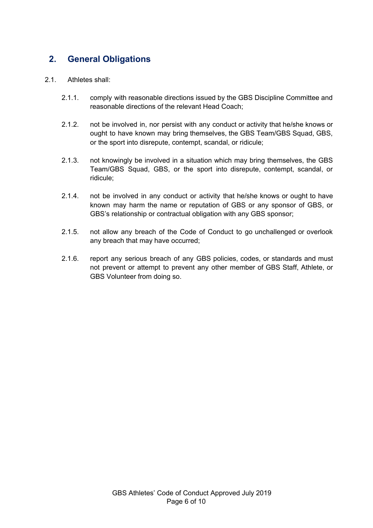## <span id="page-5-0"></span>**2. General Obligations**

#### 2.1. Athletes shall:

- 2.1.1. comply with reasonable directions issued by the GBS Discipline Committee and reasonable directions of the relevant Head Coach;
- 2.1.2. not be involved in, nor persist with any conduct or activity that he/she knows or ought to have known may bring themselves, the GBS Team/GBS Squad, GBS, or the sport into disrepute, contempt, scandal, or ridicule;
- 2.1.3. not knowingly be involved in a situation which may bring themselves, the GBS Team/GBS Squad, GBS, or the sport into disrepute, contempt, scandal, or ridicule;
- 2.1.4. not be involved in any conduct or activity that he/she knows or ought to have known may harm the name or reputation of GBS or any sponsor of GBS, or GBS's relationship or contractual obligation with any GBS sponsor;
- 2.1.5. not allow any breach of the Code of Conduct to go unchallenged or overlook any breach that may have occurred;
- 2.1.6. report any serious breach of any GBS policies, codes, or standards and must not prevent or attempt to prevent any other member of GBS Staff, Athlete, or GBS Volunteer from doing so.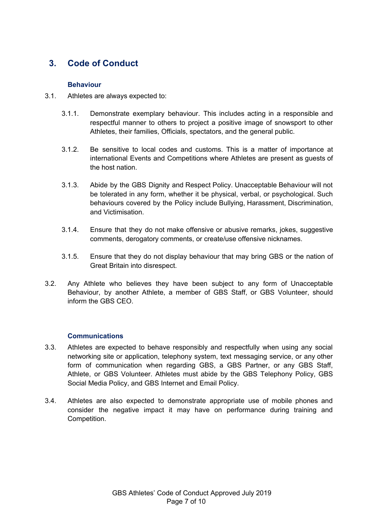## <span id="page-6-1"></span><span id="page-6-0"></span>**3. Code of Conduct**

#### **Behaviour**

- 3.1. Athletes are always expected to:
	- 3.1.1. Demonstrate exemplary behaviour. This includes acting in a responsible and respectful manner to others to project a positive image of snowsport to other Athletes, their families, Officials, spectators, and the general public.
	- 3.1.2. Be sensitive to local codes and customs. This is a matter of importance at international Events and Competitions where Athletes are present as guests of the host nation.
	- 3.1.3. Abide by the GBS Dignity and Respect Policy. Unacceptable Behaviour will not be tolerated in any form, whether it be physical, verbal, or psychological. Such behaviours covered by the Policy include Bullying, Harassment, Discrimination, and Victimisation.
	- 3.1.4. Ensure that they do not make offensive or abusive remarks, jokes, suggestive comments, derogatory comments, or create/use offensive nicknames.
	- 3.1.5. Ensure that they do not display behaviour that may bring GBS or the nation of Great Britain into disrespect.
- 3.2. Any Athlete who believes they have been subject to any form of Unacceptable Behaviour, by another Athlete, a member of GBS Staff, or GBS Volunteer, should inform the GBS CEO.

#### **Communications**

- <span id="page-6-2"></span>3.3. Athletes are expected to behave responsibly and respectfully when using any social networking site or application, telephony system, text messaging service, or any other form of communication when regarding GBS, a GBS Partner, or any GBS Staff, Athlete, or GBS Volunteer. Athletes must abide by the GBS Telephony Policy, GBS Social Media Policy, and GBS Internet and Email Policy.
- 3.4. Athletes are also expected to demonstrate appropriate use of mobile phones and consider the negative impact it may have on performance during training and Competition.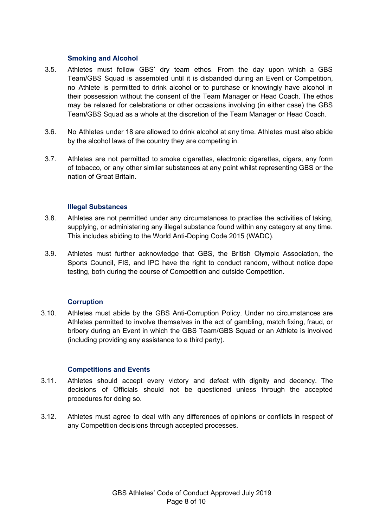#### **Smoking and Alcohol**

- <span id="page-7-0"></span>3.5. Athletes must follow GBS' dry team ethos. From the day upon which a GBS Team/GBS Squad is assembled until it is disbanded during an Event or Competition, no Athlete is permitted to drink alcohol or to purchase or knowingly have alcohol in their possession without the consent of the Team Manager or Head Coach. The ethos may be relaxed for celebrations or other occasions involving (in either case) the GBS Team/GBS Squad as a whole at the discretion of the Team Manager or Head Coach.
- 3.6. No Athletes under 18 are allowed to drink alcohol at any time. Athletes must also abide by the alcohol laws of the country they are competing in.
- 3.7. Athletes are not permitted to smoke cigarettes, electronic cigarettes, cigars, any form of tobacco, or any other similar substances at any point whilst representing GBS or the nation of Great Britain.

#### **Illegal Substances**

- <span id="page-7-1"></span>3.8. Athletes are not permitted under any circumstances to practise the activities of taking, supplying, or administering any illegal substance found within any category at any time. This includes abiding to the World Anti-Doping Code 2015 (WADC).
- 3.9. Athletes must further acknowledge that GBS, the British Olympic Association, the Sports Council, FIS, and IPC have the right to conduct random, without notice dope testing, both during the course of Competition and outside Competition.

#### **Corruption**

<span id="page-7-2"></span>3.10. Athletes must abide by the GBS Anti-Corruption Policy. Under no circumstances are Athletes permitted to involve themselves in the act of gambling, match fixing, fraud, or bribery during an Event in which the GBS Team/GBS Squad or an Athlete is involved (including providing any assistance to a third party).

#### **Competitions and Events**

- <span id="page-7-3"></span>3.11. Athletes should accept every victory and defeat with dignity and decency. The decisions of Officials should not be questioned unless through the accepted procedures for doing so.
- 3.12. Athletes must agree to deal with any differences of opinions or conflicts in respect of any Competition decisions through accepted processes.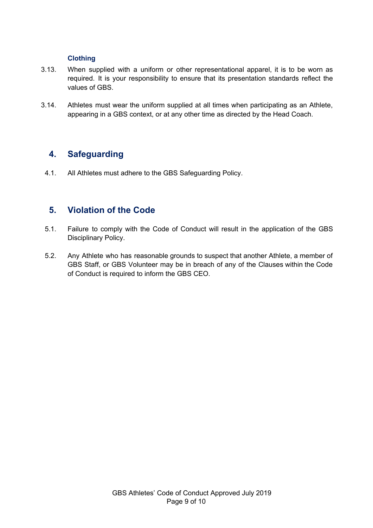#### **Clothing**

- <span id="page-8-0"></span>3.13. When supplied with a uniform or other representational apparel, it is to be worn as required. It is your responsibility to ensure that its presentation standards reflect the values of GBS.
- 3.14. Athletes must wear the uniform supplied at all times when participating as an Athlete, appearing in a GBS context, or at any other time as directed by the Head Coach.

### <span id="page-8-1"></span>**4. Safeguarding**

4.1. All Athletes must adhere to the GBS Safeguarding Policy.

## <span id="page-8-2"></span>**5. Violation of the Code**

- 5.1. Failure to comply with the Code of Conduct will result in the application of the GBS Disciplinary Policy.
- 5.2. Any Athlete who has reasonable grounds to suspect that another Athlete, a member of GBS Staff, or GBS Volunteer may be in breach of any of the Clauses within the Code of Conduct is required to inform the GBS CEO.